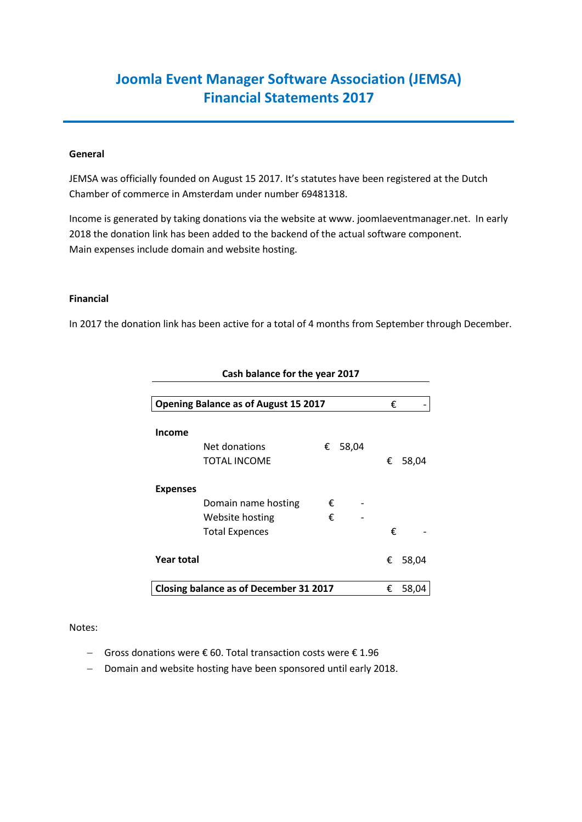# **Joomla Event Manager Software Association (JEMSA) Financial Statements 2017**

### **General**

JEMSA was officially founded on August 15 2017. It's statutes have been registered at the Dutch Chamber of commerce in Amsterdam under number 69481318.

Income is generated by taking donations via the website at www. joomlaeventmanager.net. In early 2018 the donation link has been added to the backend of the actual software component. Main expenses include domain and website hosting.

#### **Financial**

In 2017 the donation link has been active for a total of 4 months from September through December.

| <b>Opening Balance as of August 15 2017</b>   |   |       |   | €     |
|-----------------------------------------------|---|-------|---|-------|
|                                               |   |       |   |       |
| <b>Income</b>                                 |   |       |   |       |
| Net donations                                 | € | 58,04 |   |       |
| TOTAL INCOME                                  |   |       | € | 58,04 |
| <b>Expenses</b>                               |   |       |   |       |
| Domain name hosting                           | € |       |   |       |
| Website hosting                               | € |       |   |       |
| <b>Total Expences</b>                         |   |       | € |       |
| <b>Year total</b>                             |   |       | € | 58,04 |
| <b>Closing balance as of December 31 2017</b> |   |       |   | 58,04 |

## **Cash balance for the year 2017**

#### Notes:

- Gross donations were € 60. Total transaction costs were € 1.96
- Domain and website hosting have been sponsored until early 2018.